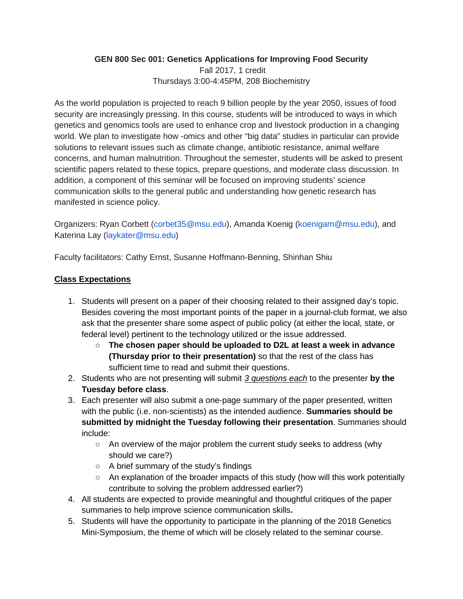## **GEN 800 Sec 001: Genetics Applications for Improving Food Security**

Fall 2017, 1 credit Thursdays 3:00-4:45PM, 208 Biochemistry

As the world population is projected to reach 9 billion people by the year 2050, issues of food security are increasingly pressing. In this course, students will be introduced to ways in which genetics and genomics tools are used to enhance crop and livestock production in a changing world. We plan to investigate how -omics and other "big data" studies in particular can provide solutions to relevant issues such as climate change, antibiotic resistance, animal welfare concerns, and human malnutrition. Throughout the semester, students will be asked to present scientific papers related to these topics, prepare questions, and moderate class discussion. In addition, a component of this seminar will be focused on improving students' science communication skills to the general public and understanding how genetic research has manifested in science policy.

Organizers: Ryan Corbett (corbet35@msu.edu), Amanda Koenig (koenigam@msu.edu), and Katerina Lay (laykater@msu.edu)

Faculty facilitators: Cathy Ernst, Susanne Hoffmann-Benning, Shinhan Shiu

## **Class Expectations**

- 1. Students will present on a paper of their choosing related to their assigned day's topic. Besides covering the most important points of the paper in a journal-club format, we also ask that the presenter share some aspect of public policy (at either the local, state, or federal level) pertinent to the technology utilized or the issue addressed.
	- **The chosen paper should be uploaded to D2L at least a week in advance (Thursday prior to their presentation)** so that the rest of the class has sufficient time to read and submit their questions.
- 2. Students who are not presenting will submit *3 questions each* to the presenter **by the Tuesday before class**.
- 3. Each presenter will also submit a one-page summary of the paper presented, written with the public (i.e. non-scientists) as the intended audience. **Summaries should be submitted by midnight the Tuesday following their presentation**. Summaries should include:
	- An overview of the major problem the current study seeks to address (why should we care?)
	- A brief summary of the study's findings
	- An explanation of the broader impacts of this study (how will this work potentially contribute to solving the problem addressed earlier?)
- 4. All students are expected to provide meaningful and thoughtful critiques of the paper summaries to help improve science communication skills**.**
- 5. Students will have the opportunity to participate in the planning of the 2018 Genetics Mini-Symposium, the theme of which will be closely related to the seminar course.